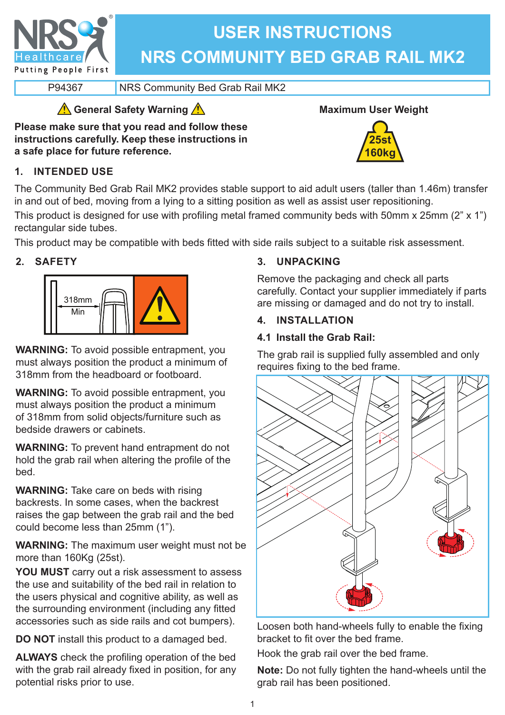

# **USER INSTRUCTIONS NRS COMMUNITY BED GRAB RAIL MK2**

P94367 NRS Community Bed Grab Rail MK2

# **General Safety Warning**

**Please make sure that you read and follow these instructions carefully. Keep these instructions in a safe place for future reference.**

# **1. INTENDED USE**





The Community Bed Grab Rail MK2 provides stable support to aid adult users (taller than 1.46m) transfer in and out of bed, moving from a lying to a sitting position as well as assist user repositioning.

This product is designed for use with profiling metal framed community beds with 50mm x 25mm (2" x 1") rectangular side tubes.

This product may be compatible with beds fitted with side rails subject to a suitable risk assessment.

## **2. SAFETY**



**WARNING:** To avoid possible entrapment, you must always position the product a minimum of 318mm from the headboard or footboard.

**WARNING:** To avoid possible entrapment, you must always position the product a minimum of 318mm from solid objects/furniture such as bedside drawers or cabinets.

**WARNING:** To prevent hand entrapment do not hold the grab rail when altering the profile of the bed.

**WARNING:** Take care on beds with rising backrests. In some cases, when the backrest raises the gap between the grab rail and the bed could become less than 25mm (1").

**WARNING:** The maximum user weight must not be more than 160Kg (25st).

**YOU MUST** carry out a risk assessment to assess the use and suitability of the bed rail in relation to the users physical and cognitive ability, as well as the surrounding environment (including any fitted accessories such as side rails and cot bumpers).

**DO NOT** install this product to a damaged bed.

**ALWAYS** check the profiling operation of the bed with the grab rail already fixed in position, for any potential risks prior to use.

## **3. UNPACKING**

Remove the packaging and check all parts carefully. Contact your supplier immediately if parts are missing or damaged and do not try to install.

## **4. INSTALLATION**

## **4.1 Install the Grab Rail:**

The grab rail is supplied fully assembled and only requires fixing to the bed frame.



Loosen both hand-wheels fully to enable the fixing bracket to fit over the bed frame.

Hook the grab rail over the bed frame.

**Note:** Do not fully tighten the hand-wheels until the grab rail has been positioned.